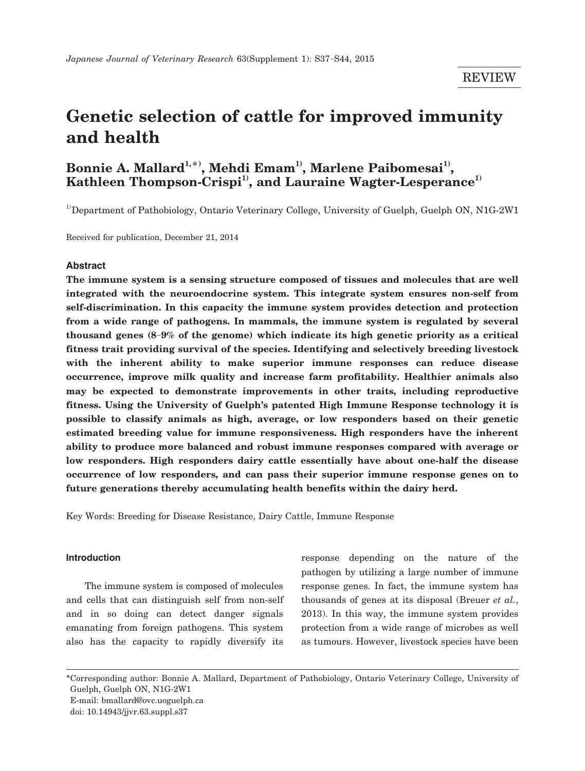# **Genetic selection of cattle for improved immunity and health**

## $\mathbf{Bonnie\ A\ \textbf{Mallard}^{1,\ast}, \textbf{Mehdi\ Emam}^{1}, \textbf{Marlene\ Paibomesai}^{1)},$ Kathleen Thompson-Crispi<sup>1)</sup>, and Lauraine Wagter-Lesperance<sup>1)</sup>

<sup>1)</sup>Department of Pathobiology, Ontario Veterinary College, University of Guelph, Guelph ON, N1G-2W1

Received for publication, December 21, 2014

## **Abstract**

**The immune system is a sensing structure composed of tissues and molecules that are well integrated with the neuroendocrine system. This integrate system ensures non-self from self-discrimination. In this capacity the immune system provides detection and protection from a wide range of pathogens. In mammals, the immune system is regulated by several thousand genes (8**-**9% of the genome) which indicate its high genetic priority as a critical fitness trait providing survival of the species. Identifying and selectively breeding livestock with the inherent ability to make superior immune responses can reduce disease occurrence, improve milk quality and increase farm profitability. Healthier animals also may be expected to demonstrate improvements in other traits, including reproductive fitness. Using the University of Guelph's patented High Immune Response technology it is possible to classify animals as high, average, or low responders based on their genetic estimated breeding value for immune responsiveness. High responders have the inherent ability to produce more balanced and robust immune responses compared with average or low responders. High responders dairy cattle essentially have about one-half the disease occurrence of low responders, and can pass their superior immune response genes on to future generations thereby accumulating health benefits within the dairy herd.**

Key Words: Breeding for Disease Resistance, Dairy Cattle, Immune Response

#### **Introduction**

The immune system is composed of molecules and cells that can distinguish self from non-self and in so doing can detect danger signals emanating from foreign pathogens. This system also has the capacity to rapidly diversify its

response depending on the nature of the pathogen by utilizing a large number of immune response genes. In fact, the immune system has thousands of genes at its disposal (Breuer *et al.*, 2013). In this way, the immune system provides protection from a wide range of microbes as well as tumours. However, livestock species have been

<sup>\*</sup>Corresponding author: Bonnie A. Mallard, Department of Pathobiology, Ontario Veterinary College, University of Guelph, Guelph ON, N1G-2W1 E-mail: bmallard@ovc.uoguelph.ca doi: 10.14943/jjvr.63.suppl.s37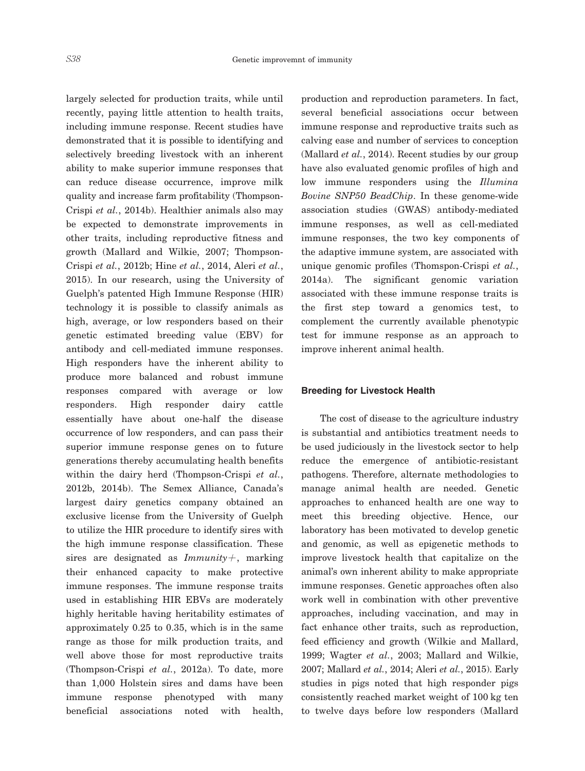largely selected for production traits, while until recently, paying little attention to health traits, including immune response. Recent studies have demonstrated that it is possible to identifying and selectively breeding livestock with an inherent ability to make superior immune responses that can reduce disease occurrence, improve milk quality and increase farm profitability (Thompson-Crispi *et al.*, 2014b). Healthier animals also may be expected to demonstrate improvements in other traits, including reproductive fitness and growth (Mallard and Wilkie, 2007; Thompson-Crispi *et al.*, 2012b; Hine *et al.*, 2014, Aleri *et al.*, 2015). In our research, using the University of Guelph's patented High Immune Response (HIR) technology it is possible to classify animals as high, average, or low responders based on their genetic estimated breeding value (EBV) for antibody and cell-mediated immune responses. High responders have the inherent ability to produce more balanced and robust immune responses compared with average or low responders. High responder dairy cattle essentially have about one-half the disease occurrence of low responders, and can pass their superior immune response genes on to future generations thereby accumulating health benefits within the dairy herd (Thompson-Crispi *et al.*, 2012b, 2014b). The Semex Alliance, Canada's largest dairy genetics company obtained an exclusive license from the University of Guelph to utilize the HIR procedure to identify sires with the high immune response classification. These sires are designated as *Immunity*+, marking their enhanced capacity to make protective immune responses. The immune response traits used in establishing HIR EBVs are moderately highly heritable having heritability estimates of approximately 0.25 to 0.35, which is in the same range as those for milk production traits, and well above those for most reproductive traits (Thompson-Crispi *et al.*, 2012a). To date, more than 1,000 Holstein sires and dams have been immune response phenotyped with many beneficial associations noted with health, production and reproduction parameters. In fact, several beneficial associations occur between immune response and reproductive traits such as calving ease and number of services to conception (Mallard *et al.*, 2014). Recent studies by our group have also evaluated genomic profiles of high and low immune responders using the *Illumina Bovine SNP50 BeadChip*. In these genome-wide association studies (GWAS) antibody-mediated immune responses, as well as cell-mediated immune responses, the two key components of the adaptive immune system, are associated with unique genomic profiles (Thomspon-Crispi *et al.*, 2014a). The significant genomic variation associated with these immune response traits is the first step toward a genomics test, to complement the currently available phenotypic test for immune response as an approach to improve inherent animal health.

#### **Breeding for Livestock Health**

 The cost of disease to the agriculture industry is substantial and antibiotics treatment needs to be used judiciously in the livestock sector to help reduce the emergence of antibiotic-resistant pathogens. Therefore, alternate methodologies to manage animal health are needed. Genetic approaches to enhanced health are one way to meet this breeding objective. Hence, our laboratory has been motivated to develop genetic and genomic, as well as epigenetic methods to improve livestock health that capitalize on the animal's own inherent ability to make appropriate immune responses. Genetic approaches often also work well in combination with other preventive approaches, including vaccination, and may in fact enhance other traits, such as reproduction, feed efficiency and growth (Wilkie and Mallard, 1999; Wagter *et al.*, 2003; Mallard and Wilkie, 2007; Mallard *et al.*, 2014; Aleri *et al.*, 2015). Early studies in pigs noted that high responder pigs consistently reached market weight of 100 kg ten to twelve days before low responders (Mallard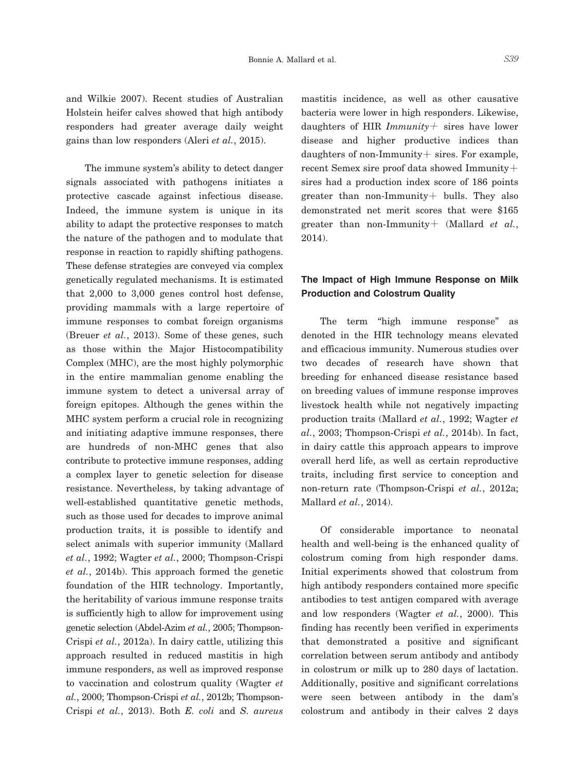and Wilkie 2007). Recent studies of Australian Holstein heifer calves showed that high antibody responders had greater average daily weight gains than low responders (Aleri *et al.*, 2015).

 The immune system's ability to detect danger signals associated with pathogens initiates a protective cascade against infectious disease. Indeed, the immune system is unique in its ability to adapt the protective responses to match the nature of the pathogen and to modulate that response in reaction to rapidly shifting pathogens. These defense strategies are conveyed via complex genetically regulated mechanisms. It is estimated that 2,000 to 3,000 genes control host defense, providing mammals with a large repertoire of immune responses to combat foreign organisms (Breuer *et al.*, 2013). Some of these genes, such as those within the Major Histocompatibility Complex (MHC), are the most highly polymorphic in the entire mammalian genome enabling the immune system to detect a universal array of foreign epitopes. Although the genes within the MHC system perform a crucial role in recognizing and initiating adaptive immune responses, there are hundreds of non-MHC genes that also contribute to protective immune responses, adding a complex layer to genetic selection for disease resistance. Nevertheless, by taking advantage of well-established quantitative genetic methods, such as those used for decades to improve animal production traits, it is possible to identify and select animals with superior immunity (Mallard *et al.*, 1992; Wagter *et al.*, 2000; Thompson-Crispi *et al.*, 2014b). This approach formed the genetic foundation of the HIR technology. Importantly, the heritability of various immune response traits is sufficiently high to allow for improvement using genetic selection (Abdel-Azim *et al.*, 2005; Thompson-Crispi *et al.*, 2012a). In dairy cattle, utilizing this approach resulted in reduced mastitis in high immune responders, as well as improved response to vaccination and colostrum quality (Wagter *et al.*, 2000; Thompson-Crispi *et al.*, 2012b; Thompson-Crispi *et al.*, 2013). Both *E. coli* and *S. aureus* mastitis incidence, as well as other causative bacteria were lower in high responders. Likewise, daughters of HIR *Immunity*+ sires have lower disease and higher productive indices than daughters of non-Immunity+ sires. For example, recent Semex sire proof data showed Immunity+ sires had a production index score of 186 points greater than non-Immunity+ bulls. They also demonstrated net merit scores that were \$165 greater than non-Immunity+ (Mallard *et al.*, 2014).

## **The Impact of High Immune Response on Milk Production and Colostrum Quality**

 The term "high immune response" as denoted in the HIR technology means elevated and efficacious immunity. Numerous studies over two decades of research have shown that breeding for enhanced disease resistance based on breeding values of immune response improves livestock health while not negatively impacting production traits (Mallard *et al.*, 1992; Wagter *et al.*, 2003; Thompson-Crispi *et al.*, 2014b). In fact, in dairy cattle this approach appears to improve overall herd life, as well as certain reproductive traits, including first service to conception and non-return rate (Thompson-Crispi *et al.*, 2012a; Mallard *et al.*, 2014).

 Of considerable importance to neonatal health and well-being is the enhanced quality of colostrum coming from high responder dams. Initial experiments showed that colostrum from high antibody responders contained more specific antibodies to test antigen compared with average and low responders (Wagter *et al.*, 2000). This finding has recently been verified in experiments that demonstrated a positive and significant correlation between serum antibody and antibody in colostrum or milk up to 280 days of lactation. Additionally, positive and significant correlations were seen between antibody in the dam's colostrum and antibody in their calves 2 days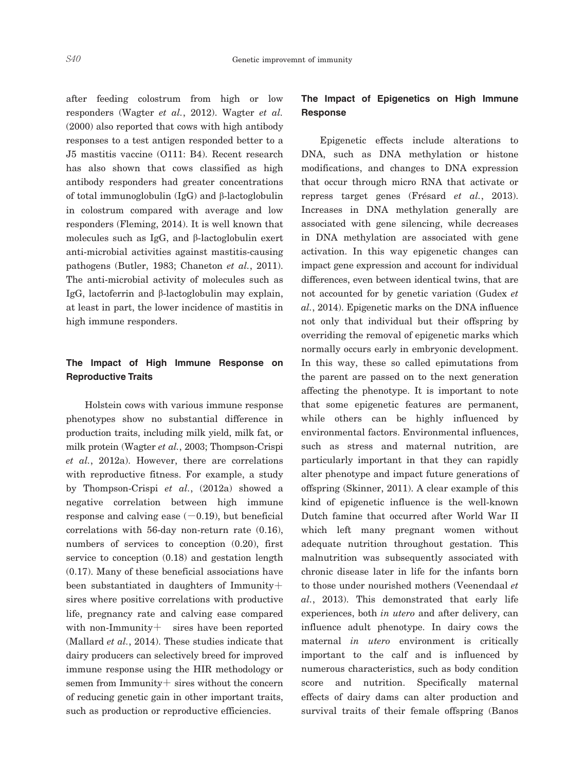after feeding colostrum from high or low responders (Wagter *et al.*, 2012). Wagter *et al.* (2000) also reported that cows with high antibody responses to a test antigen responded better to a J5 mastitis vaccine (O111: B4). Recent research has also shown that cows classified as high antibody responders had greater concentrations of total immunoglobulin (IgG) and β-lactoglobulin in colostrum compared with average and low responders (Fleming, 2014). It is well known that molecules such as IgG, and β-lactoglobulin exert anti-microbial activities against mastitis-causing pathogens (Butler, 1983; Chaneton *et al.*, 2011). The anti-microbial activity of molecules such as IgG, lactoferrin and β-lactoglobulin may explain, at least in part, the lower incidence of mastitis in high immune responders.

## **The Impact of High Immune Response on Reproductive Traits**

 Holstein cows with various immune response phenotypes show no substantial difference in production traits, including milk yield, milk fat, or milk protein (Wagter *et al.*, 2003; Thompson-Crispi *et al.*, 2012a). However, there are correlations with reproductive fitness. For example, a study by Thompson-Crispi *et al.*, (2012a) showed a negative correlation between high immune response and calving ease  $(-0.19)$ , but beneficial correlations with 56-day non-return rate (0.16), numbers of services to conception (0.20), first service to conception (0.18) and gestation length (0.17). Many of these beneficial associations have been substantiated in daughters of Immunity+ sires where positive correlations with productive life, pregnancy rate and calving ease compared with non-Immunity $+$  sires have been reported (Mallard *et al.*, 2014). These studies indicate that dairy producers can selectively breed for improved immune response using the HIR methodology or semen from Immunity + sires without the concern of reducing genetic gain in other important traits, such as production or reproductive efficiencies.

## **The Impact of Epigenetics on High Immune Response**

 Epigenetic effects include alterations to DNA, such as DNA methylation or histone modifications, and changes to DNA expression that occur through micro RNA that activate or repress target genes (Frésard *et al.*, 2013). Increases in DNA methylation generally are associated with gene silencing, while decreases in DNA methylation are associated with gene activation. In this way epigenetic changes can impact gene expression and account for individual differences, even between identical twins, that are not accounted for by genetic variation (Gudex *et al.*, 2014). Epigenetic marks on the DNA influence not only that individual but their offspring by overriding the removal of epigenetic marks which normally occurs early in embryonic development. In this way, these so called epimutations from the parent are passed on to the next generation affecting the phenotype. It is important to note that some epigenetic features are permanent, while others can be highly influenced by environmental factors. Environmental influences, such as stress and maternal nutrition, are particularly important in that they can rapidly alter phenotype and impact future generations of offspring (Skinner, 2011). A clear example of this kind of epigenetic influence is the well-known Dutch famine that occurred after World War II which left many pregnant women without adequate nutrition throughout gestation. This malnutrition was subsequently associated with chronic disease later in life for the infants born to those under nourished mothers (Veenendaal *et al.*, 2013). This demonstrated that early life experiences, both *in utero* and after delivery, can influence adult phenotype. In dairy cows the maternal *in utero* environment is critically important to the calf and is influenced by numerous characteristics, such as body condition score and nutrition. Specifically maternal effects of dairy dams can alter production and survival traits of their female offspring (Banos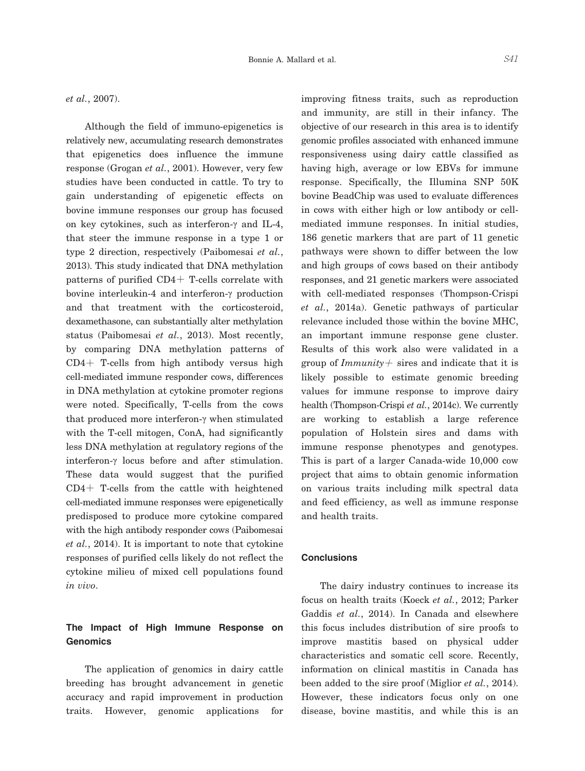*et al.*, 2007).

 Although the field of immuno-epigenetics is relatively new, accumulating research demonstrates that epigenetics does influence the immune response (Grogan *et al.*, 2001). However, very few studies have been conducted in cattle. To try to gain understanding of epigenetic effects on bovine immune responses our group has focused on key cytokines, such as interferon-γ and IL-4, that steer the immune response in a type 1 or type 2 direction, respectively (Paibomesai *et al.*, 2013). This study indicated that DNA methylation patterns of purified CD4+ T-cells correlate with bovine interleukin-4 and interferon-γ production and that treatment with the corticosteroid, dexamethasone, can substantially alter methylation status (Paibomesai *et al.*, 2013). Most recently, by comparing DNA methylation patterns of CD4+ T-cells from high antibody versus high cell-mediated immune responder cows, differences in DNA methylation at cytokine promoter regions were noted. Specifically, T-cells from the cows that produced more interferon-γ when stimulated with the T-cell mitogen, ConA, had significantly less DNA methylation at regulatory regions of the interferon-γ locus before and after stimulation. These data would suggest that the purified CD4+ T-cells from the cattle with heightened cell-mediated immune responses were epigenetically predisposed to produce more cytokine compared with the high antibody responder cows (Paibomesai *et al.*, 2014). It is important to note that cytokine responses of purified cells likely do not reflect the cytokine milieu of mixed cell populations found *in vivo*.

## **The Impact of High Immune Response on Genomics**

 The application of genomics in dairy cattle breeding has brought advancement in genetic accuracy and rapid improvement in production traits. However, genomic applications for

improving fitness traits, such as reproduction and immunity, are still in their infancy. The objective of our research in this area is to identify genomic profiles associated with enhanced immune responsiveness using dairy cattle classified as having high, average or low EBVs for immune response. Specifically, the Illumina SNP 50K bovine BeadChip was used to evaluate differences in cows with either high or low antibody or cellmediated immune responses. In initial studies, 186 genetic markers that are part of 11 genetic pathways were shown to differ between the low and high groups of cows based on their antibody responses, and 21 genetic markers were associated with cell-mediated responses (Thompson-Crispi *et al.*, 2014a). Genetic pathways of particular relevance included those within the bovine MHC, an important immune response gene cluster. Results of this work also were validated in a group of *Immunity*+ sires and indicate that it is likely possible to estimate genomic breeding values for immune response to improve dairy health (Thompson-Crispi *et al.*, 2014c). We currently are working to establish a large reference population of Holstein sires and dams with immune response phenotypes and genotypes. This is part of a larger Canada-wide 10,000 cow project that aims to obtain genomic information on various traits including milk spectral data and feed efficiency, as well as immune response and health traits.

## **Conclusions**

 The dairy industry continues to increase its focus on health traits (Koeck *et al.*, 2012; Parker Gaddis *et al.*, 2014). In Canada and elsewhere this focus includes distribution of sire proofs to improve mastitis based on physical udder characteristics and somatic cell score. Recently, information on clinical mastitis in Canada has been added to the sire proof (Miglior *et al.*, 2014). However, these indicators focus only on one disease, bovine mastitis, and while this is an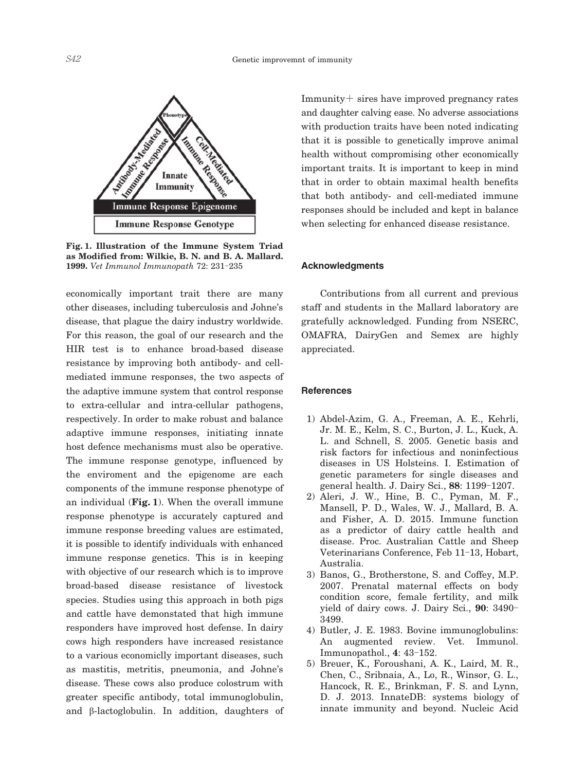

**Fig. 1. Illustration of the Immune System Triad as Modified from: Wilkie, B. N. and B. A. Mallard. 1999.** *Vet Immunol Immunopath* 72: 231-235

economically important trait there are many other diseases, including tuberculosis and Johne's disease, that plague the dairy industry worldwide. For this reason, the goal of our research and the HIR test is to enhance broad-based disease resistance by improving both antibody- and cellmediated immune responses, the two aspects of the adaptive immune system that control response to extra-cellular and intra-cellular pathogens, respectively. In order to make robust and balance adaptive immune responses, initiating innate host defence mechanisms must also be operative. The immune response genotype, influenced by the enviroment and the epigenome are each components of the immune response phenotype of an individual (**Fig. 1**). When the overall immune response phenotype is accurately captured and immune response breeding values are estimated, it is possible to identify individuals with enhanced immune response genetics. This is in keeping with objective of our research which is to improve broad-based disease resistance of livestock species. Studies using this approach in both pigs and cattle have demonstated that high immune responders have improved host defense. In dairy cows high responders have increased resistance to a various economiclly important diseases, such as mastitis, metritis, pneumonia, and Johne's disease. These cows also produce colostrum with greater specific antibody, total immunoglobulin, and β-lactoglobulin. In addition, daughters of

Immunity+ sires have improved pregnancy rates and daughter calving ease. No adverse associations with production traits have been noted indicating that it is possible to genetically improve animal health without compromising other economically important traits. It is important to keep in mind that in order to obtain maximal health benefits that both antibody- and cell-mediated immune responses should be included and kept in balance when selecting for enhanced disease resistance.

#### **Acknowledgments**

 Contributions from all current and previous staff and students in the Mallard laboratory are gratefully acknowledged. Funding from NSERC, OMAFRA, DairyGen and Semex are highly appreciated.

#### **References**

- 1) Abdel-Azim, G. A., Freeman, A. E., Kehrli, Jr. M. E., Kelm, S. C., Burton, J. L., Kuck, A. L. and Schnell, S. 2005. Genetic basis and risk factors for infectious and noninfectious diseases in US Holsteins. I. Estimation of genetic parameters for single diseases and general health. J. Dairy Sci., **88**: 1199-1207.
- 2) Aleri, J. W., Hine, B. C., Pyman, M. F., Mansell, P. D., Wales, W. J., Mallard, B. A. and Fisher, A. D. 2015. Immune function as a predictor of dairy cattle health and disease. Proc. Australian Cattle and Sheep Veterinarians Conference, Feb 11-13, Hobart, Australia.
- 3) Banos, G., Brotherstone, S. and Coffey, M.P. 2007. Prenatal maternal effects on body condition score, female fertility, and milk yield of dairy cows. J. Dairy Sci., **90**: 3490- 3499.
- 4) Butler, J. E. 1983. Bovine immunoglobulins: An augmented review. Vet. Immunol. Immunopathol., **4**: 43-152.
- 5) Breuer, K., Foroushani, A. K., Laird, M. R., Chen, C., Sribnaia, A., Lo, R., Winsor, G. L., Hancock, R. E., Brinkman, F. S. and Lynn, D. J. 2013. InnateDB: systems biology of innate immunity and beyond. Nucleic Acid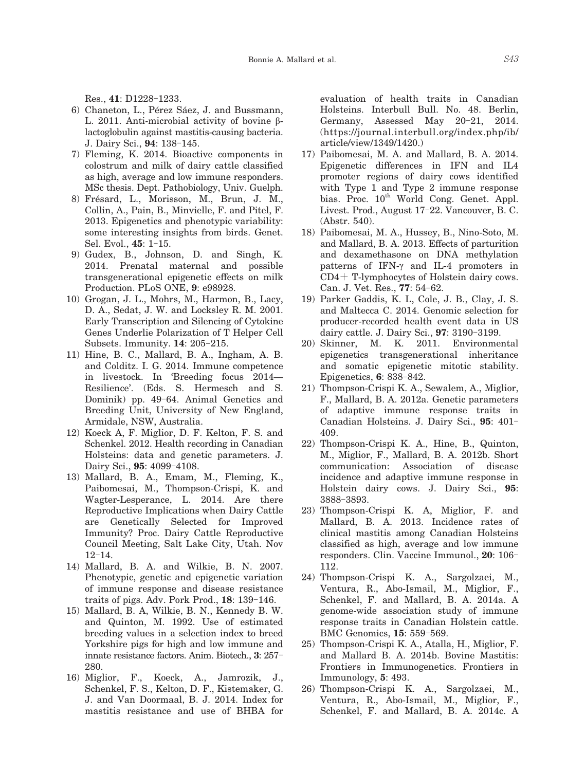- 6) Chaneton, L., Pérez Sáez, J. and Bussmann, L. 2011. Anti-microbial activity of bovine βlactoglobulin against mastitis-causing bacteria. J. Dairy Sci., **94**: 138-145.
- 7) Fleming, K. 2014. Bioactive components in colostrum and milk of dairy cattle classified as high, average and low immune responders. MSc thesis. Dept. Pathobiology, Univ. Guelph.
- 8) Frésard, L., Morisson, M., Brun, J. M., Collin, A., Pain, B., Minvielle, F. and Pitel, F. 2013. Epigenetics and phenotypic variability: some interesting insights from birds. Genet. Sel. Evol., **45**: 1-15.
- 9) Gudex, B., Johnson, D. and Singh, K. 2014. Prenatal maternal and possible transgenerational epigenetic effects on milk Production. PLoS ONE, **9**: e98928.
- 10) Grogan, J. L., Mohrs, M., Harmon, B., Lacy, D. A., Sedat, J. W. and Locksley R. M. 2001. Early Transcription and Silencing of Cytokine Genes Underlie Polarization of T Helper Cell Subsets. Immunity. **14**: 205-215.
- 11) Hine, B. C., Mallard, B. A., Ingham, A. B. and Colditz. I. G. 2014. Immune competence in livestock. In 'Breeding focus 2014— Resilience'. (Eds. S. Hermesch and S. Dominik) pp. 49-64. Animal Genetics and Breeding Unit, University of New England, Armidale, NSW, Australia.
- 12) Koeck A, F. Miglior, D. F. Kelton, F. S. and Schenkel. 2012. Health recording in Canadian Holsteins: data and genetic parameters. J. Dairy Sci., **95**: 4099-4108.
- 13) Mallard, B. A., Emam, M., Fleming, K., Paibomesai, M., Thompson-Crispi, K. and Wagter-Lesperance, L. 2014. Are there Reproductive Implications when Dairy Cattle are Genetically Selected for Improved Immunity? Proc. Dairy Cattle Reproductive Council Meeting, Salt Lake City, Utah. Nov 12-14.
- 14) Mallard, B. A. and Wilkie, B. N. 2007. Phenotypic, genetic and epigenetic variation of immune response and disease resistance traits of pigs. Adv. Pork Prod., **18**: 139-146.
- 15) Mallard, B. A, Wilkie, B. N., Kennedy B. W. and Quinton, M. 1992. Use of estimated breeding values in a selection index to breed Yorkshire pigs for high and low immune and innate resistance factors. Anim. Biotech., **3**: 257- 280.
- 16) Miglior, F., Koeck, A., Jamrozik, J., Schenkel, F. S., Kelton, D. F., Kistemaker, G. J. and Van Doormaal, B. J. 2014. Index for mastitis resistance and use of BHBA for

evaluation of health traits in Canadian Holsteins. Interbull Bull. No. 48. Berlin, Germany, Assessed May 20-21, 2014. (https://journal.interbull.org/index.php/ib/ article/view/1349/1420.)

- 17) Paibomesai, M. A. and Mallard, B. A. 2014. Epigenetic differences in IFN and IL4 promoter regions of dairy cows identified with Type 1 and Type 2 immune response bias. Proc.  $10^{th}$  World Cong. Genet. Appl. Livest. Prod., August 17-22. Vancouver, B. C. (Abstr. 540).
- 18) Paibomesai, M. A., Hussey, B., Nino-Soto, M. and Mallard, B. A. 2013. Effects of parturition and dexamethasone on DNA methylation patterns of IFN-γ and IL-4 promoters in CD4+ T-lymphocytes of Holstein dairy cows. Can. J. Vet. Res., **77**: 54-62.
- 19) Parker Gaddis, K. L, Cole, J. B., Clay, J. S. and Maltecca C. 2014. Genomic selection for producer-recorded health event data in US dairy cattle. J. Dairy Sci., **97**: 3190-3199.
- 20) Skinner, M. K. 2011. Environmental epigenetics transgenerational inheritance and somatic epigenetic mitotic stability. Epigenetics, **6**: 838-842.
- 21) Thompson-Crispi K. A., Sewalem, A., Miglior, F., Mallard, B. A. 2012a. Genetic parameters of adaptive immune response traits in Canadian Holsteins. J. Dairy Sci., **95**: 401- 409.
- 22) Thompson-Crispi K. A., Hine, B., Quinton, M., Miglior, F., Mallard, B. A. 2012b. Short communication: Association of disease incidence and adaptive immune response in Holstein dairy cows. J. Dairy Sci., **95**: 3888-3893.
- 23) Thompson-Crispi K. A, Miglior, F. and Mallard, B. A. 2013. Incidence rates of clinical mastitis among Canadian Holsteins classified as high, average and low immune responders. Clin. Vaccine Immunol., **20**: 106- 112.
- 24) Thompson-Crispi K. A., Sargolzaei, M., Ventura, R., Abo-Ismail, M., Miglior, F., Schenkel, F. and Mallard, B. A. 2014a. A genome-wide association study of immune response traits in Canadian Holstein cattle. BMC Genomics, **15**: 559-569.
- 25) Thompson-Crispi K. A., Atalla, H., Miglior, F. and Mallard B. A. 2014b. Bovine Mastitis: Frontiers in Immunogenetics. Frontiers in Immunology, **5**: 493.
- 26) Thompson-Crispi K. A., Sargolzaei, M., Ventura, R., Abo-Ismail, M., Miglior, F., Schenkel, F. and Mallard, B. A. 2014c. A